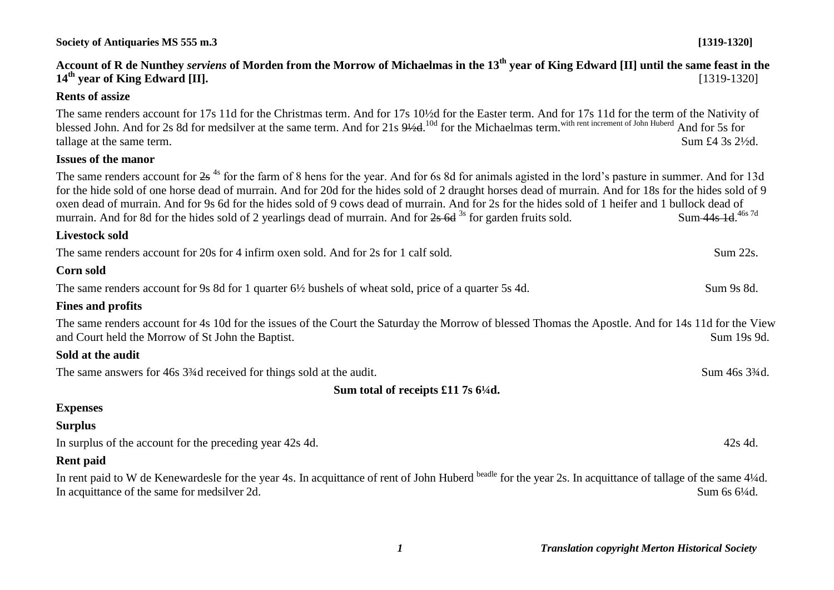# **Account of R de Nunthey** *serviens* **of Morden from the Morrow of Michaelmas in the 13th year of King Edward [II] until the same feast in the 14th year of King Edward [II].** [1319-1320]

# **Rents of assize**

The same renders account for 17s 11d for the Christmas term. And for 17s 10½d for the Easter term. And for 17s 11d for the term of the Nativity of blessed John. And for 2s 8d for medsilver at the same term. And for 21s  $9\frac{10d}{3}$  for the Michaelmas term. with rent increment of John Huberd And for 5s for tallage at the same term. Sum £4 3s 2<sup>1/2</sup>d.

# **Issues of the manor**

The same renders account for  $2s^{4s}$  for the farm of 8 hens for the year. And for 6s 8d for animals agisted in the lord's pasture in summer. And for 13d for the hide sold of one horse dead of murrain. And for 20d for the hides sold of 2 draught horses dead of murrain. And for 18s for the hides sold of 9 oxen dead of murrain. And for 9s 6d for the hides sold of 9 cows dead of murrain. And for 2s for the hides sold of 1 heifer and 1 bullock dead of murrain. And for 8d for the hides sold of 2 yearlings dead of murrain. And for  $2s$  6d  $3s$  for garden fruits sold. Sum-44s-1d. 46s 7d

#### **Livestock sold**

The same renders account for 20s for 4 infirm oxen sold. And for 2s for 1 calf sold. Sum 22s. **Corn sold**

The same renders account for 9s 8d for 1 quarter 6½ bushels of wheat sold, price of a quarter 5s 4d. Sum 9s 8d.

# **Fines and profits**

The same renders account for 4s 10d for the issues of the Court the Saturday the Morrow of blessed Thomas the Apostle. And for 14s 11d for the View and Court held the Morrow of St John the Baptist. Sum 19s 9d.

# **Sold at the audit**

The same answers for 46s 3<sup>3</sup>/<sub>4</sub>d received for things sold at the audit. Sum 46s 3<sup>3</sup>/<sub>4d</sub>.

**Sum total of receipts £11 7s 6¼d.**

# **Expenses**

# **Surplus**

In surplus of the account for the preceding year 42s 4d. 42s 4d.

# **Rent paid**

In rent paid to W de Kenewardesle for the year 4s. In acquittance of rent of John Huberd beadle for the year 2s. In acquittance of tallage of the same 4¼d. In acquittance of the same for medsilver 2d. Sum 6s 6¼d.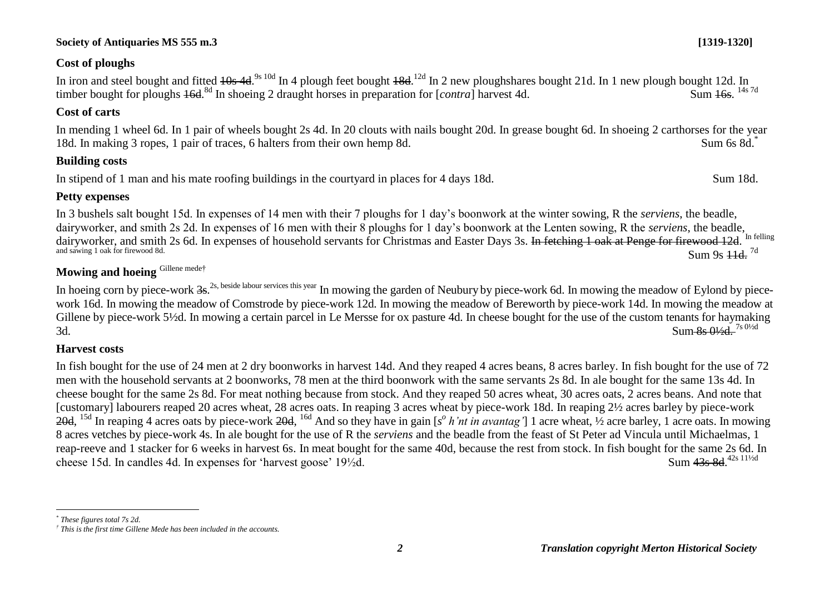# **Cost of ploughs**

In iron and steel bought and fitted <del>10s 4d.<sup>9s 10d</sup> In 4 plough feet bought 18d.<sup>12d</sup> In 2 new ploughshares bought 21d. In 1 new plough bought 12d. In</del> timber bought for ploughs 16d.<sup>8d</sup> In shoeing 2 draught horses in preparation for [*contra*] harvest 4d. Sum 16s. Sum 16s. <sup>14s 7d</sup>

# **Cost of carts**

In mending 1 wheel 6d. In 1 pair of wheels bought 2s 4d. In 20 clouts with nails bought 20d. In grease bought 6d. In shoeing 2 carthorses for the year 18d. In making 3 ropes, 1 pair of traces, 6 halters from their own hemp 8d. Sum 6s 8d.<sup>\*</sup>

# **Building costs**

In stipend of 1 man and his mate roofing buildings in the courtyard in places for 4 days 18d. Sum 18d.

# **Petty expenses**

In 3 bushels salt bought 15d. In expenses of 14 men with their 7 ploughs for 1 day's boonwork at the winter sowing, R the *serviens*, the beadle, dairyworker, and smith 2s 2d. In expenses of 16 men with their 8 ploughs for 1 day's boonwork at the Lenten sowing, R the *serviens*, the beadle, dairyworker, and smith 2s 6d. In expenses of household servants for Christmas and Easter Days 3s. In fetching 1 oak at Penge for firewood 12d. In felling and sawing 1 oak for firewood 8d. Sum 9s  $\pm 1d$ . <sup>7d</sup>

# **Mowing and hoeing** Gillene mede†

In hoeing corn by piece-work 3s.<sup>2s, beside labour services this year</sup> In mowing the garden of Neubury by piece-work 6d. In mowing the meadow of Eylond by piecework 16d. In mowing the meadow of Comstrode by piece-work 12d. In mowing the meadow of Bereworth by piece-work 14d. In mowing the meadow at Gillene by piece-work 5½d. In mowing a certain parcel in Le Mersse for ox pasture 4d. In cheese bought for the use of the custom tenants for haymaking 3d.  $\frac{\text{Sum-8s 0/2d}}{10^{18}}$ 

# **Harvest costs**

In fish bought for the use of 24 men at 2 dry boonworks in harvest 14d. And they reaped 4 acres beans, 8 acres barley. In fish bought for the use of 72 men with the household servants at 2 boonworks, 78 men at the third boonwork with the same servants 2s 8d. In ale bought for the same 13s 4d. In cheese bought for the same 2s 8d. For meat nothing because from stock. And they reaped 50 acres wheat, 30 acres oats, 2 acres beans. And note that [customary] labourers reaped 20 acres wheat, 28 acres oats. In reaping 3 acres wheat by piece-work 18d. In reaping 2½ acres barley by piece-work 20d, <sup>15d</sup> In reaping 4 acres oats by piece-work 20d, <sup>16d</sup> And so they have in gain [s<sup>o</sup> h'nt in avantag'] 1 acre wheat, ½ acre barley, 1 acre oats. In mowing 8 acres vetches by piece-work 4s. In ale bought for the use of R the *serviens* and the beadle from the feast of St Peter ad Vincula until Michaelmas, 1 reap-reeve and 1 stacker for 6 weeks in harvest 6s. In meat bought for the same 40d, because the rest from stock. In fish bought for the same 2s 6d. In cheese 15d. In candles 4d. In expenses for 'harvest goose'  $19\frac{1}{2}d$ . Sum 43s 8d 42s 111/2d

 $\overline{a}$ 

*<sup>\*</sup> These figures total 7s 2d.*

*<sup>†</sup> This is the first time Gillene Mede has been included in the accounts.*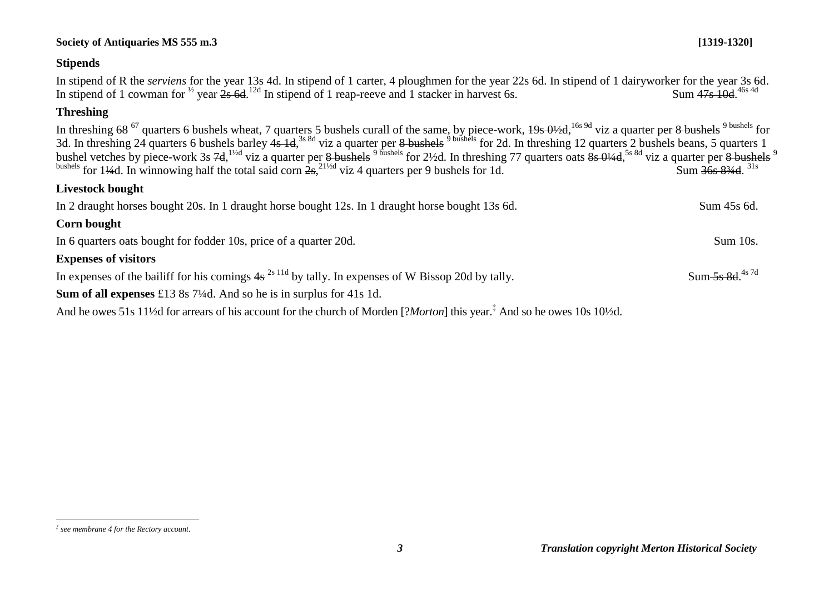#### *3 Translation copyright Merton Historical Society*

#### $\overline{a}$ *‡ see membrane 4 for the Rectory account.*

# $\text{Sum } 368.834 \text{ d}^{31s}$ **Livestock bought** In 2 draught horses bought 20s. In 1 draught horse bought 12s. In 1 draught horse bought 13s 6d. Sum 45s 6d. **Corn bought** In 6 quarters oats bought for fodder 10s, price of a quarter 20d. Sum 10s. **Expenses of visitors** In expenses of the bailiff for his comings  $4s^{2s}$  11d by tally. In expenses of W Bissop 20d by tally.  $Sum-5s$  8d  $4s$  7d **Sum of all expenses** £13 8s 7¼d. And so he is in surplus for 41s 1d.

# **Stipends**

In stipend of R the *serviens* for the year 13s 4d. In stipend of 1 carter, 4 ploughmen for the year 22s 6d. In stipend of 1 dairyworker for the year 3s 6d. In stipend of 1 cowman for  $\frac{1}{2}$  year  $2s$  6d.  $\frac{12d}{s}$  In stipend of 1 reap-reeve and 1 stacker in harvest 6s. Sum 47s 10d. Sum 47s 10d 46s 4d

# **Threshing**

In threshing <del>68</del><sup>67</sup> quarters 6 bushels wheat, 7 quarters 5 bushels curall of the same, by piece-work, <del>19s 0½d</del>, <sup>16s 9d</sup> viz a quarter per <del>8 bushels</del> <sup>9 bushels</sub> <sup>9 bushels</sup> for</sup> 3d. In threshing 24 quarters 6 bushels barley 4s 1d,<sup>3s 8d</sup> viz a quarter per 8 bushels <sup>9 bushels</sup> for 2d. In threshing 12 quarters 2 bushels beans, 5 quarters 1 bushel vetches by piece-work 3s 7d, <sup>1½d</sup> viz a quarter per <del>8 bushels <sup>9 bushels</sub> for</del> 2½d. In threshing 77 quarters oats <del>8s 0¼d</del>, <sup>5s 8d</sup> viz a quarter per <del>8 bushels</del> <sup>9</sup></del></sup> bushels for 144d. In winnowing half the total said corn  $2s$ ,  $^{21/2d}$  viz 4 quarters per 9 bushels for 1d. Sum  $36s$  834d.

And he owes 51s 11½d for arrears of his account for the church of Morden [?*Morton*] this year.‡ And so he owes 10s 10½d.

# **Society of Antiquaries MS 555 m.3 [1319-1320]**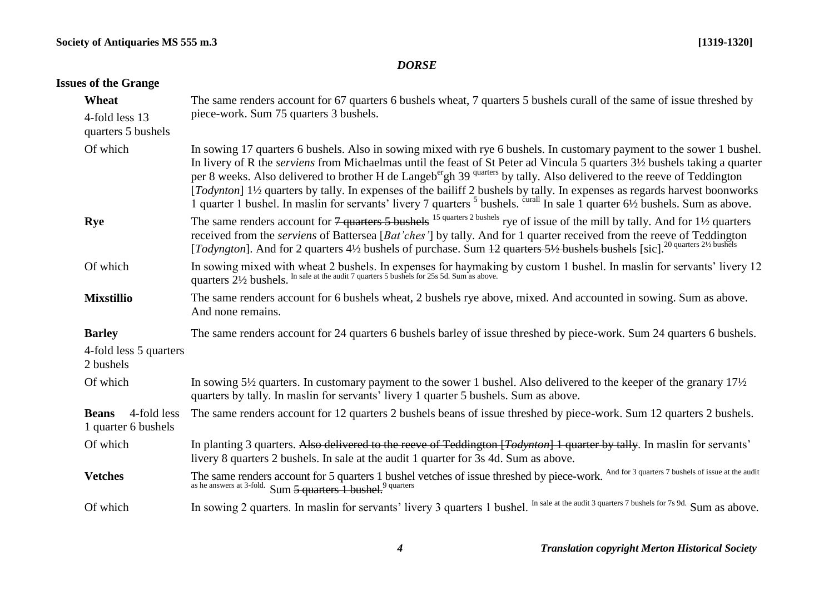# *DORSE*

# **Issues of the Grange**

| Wheat                                              | The same renders account for 67 quarters 6 bushels wheat, 7 quarters 5 bushels curall of the same of issue threshed by                                                                                                                                                                                                                                                                                                                                                                                                                                                                                                                                                                       |
|----------------------------------------------------|----------------------------------------------------------------------------------------------------------------------------------------------------------------------------------------------------------------------------------------------------------------------------------------------------------------------------------------------------------------------------------------------------------------------------------------------------------------------------------------------------------------------------------------------------------------------------------------------------------------------------------------------------------------------------------------------|
| 4-fold less 13<br>quarters 5 bushels               | piece-work. Sum 75 quarters 3 bushels.                                                                                                                                                                                                                                                                                                                                                                                                                                                                                                                                                                                                                                                       |
| Of which                                           | In sowing 17 quarters 6 bushels. Also in sowing mixed with rye 6 bushels. In customary payment to the sower 1 bushel.<br>In livery of R the <i>serviens</i> from Michaelmas until the feast of St Peter ad Vincula 5 quarters 3½ bushels taking a quarter<br>per 8 weeks. Also delivered to brother H de Langeb <sup>er</sup> gh 39 <sup>quarters</sup> by tally. Also delivered to the reeve of Teddington<br>[Todynton] 1½ quarters by tally. In expenses of the bailiff 2 bushels by tally. In expenses as regards harvest boonworks<br>1 quarter 1 bushel. In maslin for servants' livery 7 quarters <sup>5</sup> bushels. <sup>curall</sup> In sale 1 quarter 6½ bushels. Sum as above. |
| Rye                                                | The same renders account for $7$ quarters 5 bushels <sup>15 quarters 2 bushels</sup> rye of issue of the mill by tally. And for 1 <sup>1</sup> / <sub>2</sub> quarters<br>received from the serviens of Battersea [Bat'ches'] by tally. And for 1 quarter received from the reeve of Teddington<br>[Todyngton]. And for 2 quarters 41/2 bushels of purchase. Sum 42 quarters 51/2 bushels bushels [sic]. <sup>20 quarters 21/2</sup> bushels                                                                                                                                                                                                                                                 |
| Of which                                           | In sowing mixed with wheat 2 bushels. In expenses for haymaking by custom 1 bushel. In maslin for servants' livery 12 quarters 21/2 bushels. In sale at the audit 7 quarters 5 bushels for 25s 5d. Sum as above.                                                                                                                                                                                                                                                                                                                                                                                                                                                                             |
| <b>Mixstillio</b>                                  | The same renders account for 6 bushels wheat, 2 bushels rye above, mixed. And accounted in sowing. Sum as above.<br>And none remains.                                                                                                                                                                                                                                                                                                                                                                                                                                                                                                                                                        |
| <b>Barley</b>                                      | The same renders account for 24 quarters 6 bushels barley of issue threshed by piece-work. Sum 24 quarters 6 bushels.                                                                                                                                                                                                                                                                                                                                                                                                                                                                                                                                                                        |
| 4-fold less 5 quarters<br>2 bushels                |                                                                                                                                                                                                                                                                                                                                                                                                                                                                                                                                                                                                                                                                                              |
| Of which                                           | In sowing 5½ quarters. In customary payment to the sower 1 bushel. Also delivered to the keeper of the granary $17\frac{1}{2}$<br>quarters by tally. In maslin for servants' livery 1 quarter 5 bushels. Sum as above.                                                                                                                                                                                                                                                                                                                                                                                                                                                                       |
| 4-fold less<br><b>Beans</b><br>1 quarter 6 bushels | The same renders account for 12 quarters 2 bushels beans of issue threshed by piece-work. Sum 12 quarters 2 bushels.                                                                                                                                                                                                                                                                                                                                                                                                                                                                                                                                                                         |
| Of which                                           | In planting 3 quarters. Also delivered to the reeve of Teddington [Todynton] 1 quarter by tally. In maslin for servants'<br>livery 8 quarters 2 bushels. In sale at the audit 1 quarter for 3s 4d. Sum as above.                                                                                                                                                                                                                                                                                                                                                                                                                                                                             |
| <b>Vetches</b>                                     | The same renders account for 5 quarters 1 bushel vetches of issue threshed by piece-work. And for 3 quarters 7 bushels of issue at the audit<br>as he answers at 3-fold. Sum 5 quarters 1 bushel. <sup>9</sup> quarters                                                                                                                                                                                                                                                                                                                                                                                                                                                                      |
| Of which                                           | In sowing 2 quarters. In maslin for servants' livery 3 quarters 1 bushel. In sale at the audit 3 quarters 7 bushels for 7s 9d. Sum as above.                                                                                                                                                                                                                                                                                                                                                                                                                                                                                                                                                 |
|                                                    |                                                                                                                                                                                                                                                                                                                                                                                                                                                                                                                                                                                                                                                                                              |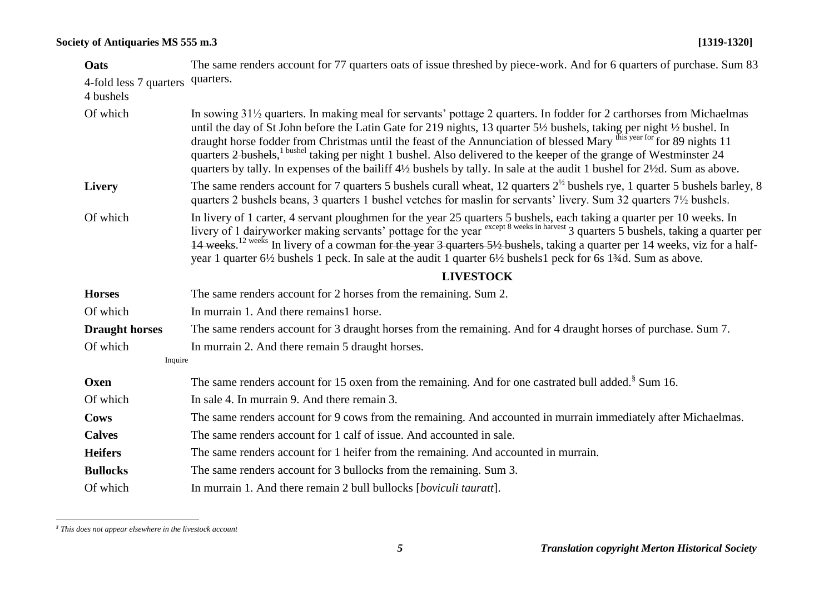| Oats                                | The same renders account for 77 quarters oats of issue threshed by piece-work. And for 6 quarters of purchase. Sum 83                                                                                                                                                                                                                                                                                                                                                                                                                                                                                                                        |
|-------------------------------------|----------------------------------------------------------------------------------------------------------------------------------------------------------------------------------------------------------------------------------------------------------------------------------------------------------------------------------------------------------------------------------------------------------------------------------------------------------------------------------------------------------------------------------------------------------------------------------------------------------------------------------------------|
| 4-fold less 7 quarters<br>4 bushels | quarters.                                                                                                                                                                                                                                                                                                                                                                                                                                                                                                                                                                                                                                    |
| Of which                            | In sowing 31 <sup>1/2</sup> quarters. In making meal for servants' pottage 2 quarters. In fodder for 2 carthorses from Michaelmas<br>until the day of St John before the Latin Gate for 219 nights, 13 quarter 5½ bushels, taking per night ½ bushel. In<br>draught horse fodder from Christmas until the feast of the Annunciation of blessed Mary this year for 89 nights 11<br>quarters 2 bushels, <sup>1 bushel</sup> taking per night 1 bushel. Also delivered to the keeper of the grange of Westminster 24<br>quarters by tally. In expenses of the bailiff 4½ bushels by tally. In sale at the audit 1 bushel for 2½d. Sum as above. |
| <b>Livery</b>                       | The same renders account for 7 quarters 5 bushels curall wheat, 12 quarters $2^{1/2}$ bushels rye, 1 quarter 5 bushels barley, 8<br>quarters 2 bushels beans, 3 quarters 1 bushel vetches for maslin for servants' livery. Sum 32 quarters 71/2 bushels.                                                                                                                                                                                                                                                                                                                                                                                     |
| Of which                            | In livery of 1 carter, 4 servant ploughmen for the year 25 quarters 5 bushels, each taking a quarter per 10 weeks. In<br>livery of 1 dairyworker making servants' pottage for the year except 8 weeks in harvest 3 quarters 5 bushels, taking a quarter per<br>14 weeks. <sup>12 weeks</sup> In livery of a cowman for the year 3 quarters 5½ bushels, taking a quarter per 14 weeks, viz for a half-<br>year 1 quarter 6½ bushels 1 peck. In sale at the audit 1 quarter 6½ bushels 1 peck for 6s 1¼d. Sum as above.                                                                                                                        |
|                                     | <b>LIVESTOCK</b>                                                                                                                                                                                                                                                                                                                                                                                                                                                                                                                                                                                                                             |
| <b>Horses</b>                       | The same renders account for 2 horses from the remaining. Sum 2.                                                                                                                                                                                                                                                                                                                                                                                                                                                                                                                                                                             |
| Of which                            | In murrain 1. And there remains 1 horse.                                                                                                                                                                                                                                                                                                                                                                                                                                                                                                                                                                                                     |
| <b>Draught horses</b>               | The same renders account for 3 draught horses from the remaining. And for 4 draught horses of purchase. Sum 7.                                                                                                                                                                                                                                                                                                                                                                                                                                                                                                                               |
| Of which                            | In murrain 2. And there remain 5 draught horses.                                                                                                                                                                                                                                                                                                                                                                                                                                                                                                                                                                                             |
| Inquire                             |                                                                                                                                                                                                                                                                                                                                                                                                                                                                                                                                                                                                                                              |
| Oxen                                | The same renders account for 15 oxen from the remaining. And for one castrated bull added. <sup>§</sup> Sum 16.                                                                                                                                                                                                                                                                                                                                                                                                                                                                                                                              |
| Of which                            | In sale 4. In murrain 9. And there remain 3.                                                                                                                                                                                                                                                                                                                                                                                                                                                                                                                                                                                                 |
| <b>Cows</b>                         | The same renders account for 9 cows from the remaining. And accounted in murrain immediately after Michaelmas.                                                                                                                                                                                                                                                                                                                                                                                                                                                                                                                               |
| <b>Calves</b>                       | The same renders account for 1 calf of issue. And accounted in sale.                                                                                                                                                                                                                                                                                                                                                                                                                                                                                                                                                                         |
| <b>Heifers</b>                      | The same renders account for 1 heifer from the remaining. And accounted in murrain.                                                                                                                                                                                                                                                                                                                                                                                                                                                                                                                                                          |
| <b>Bullocks</b>                     | The same renders account for 3 bullocks from the remaining. Sum 3.                                                                                                                                                                                                                                                                                                                                                                                                                                                                                                                                                                           |
| Of which                            | In murrain 1. And there remain 2 bull bullocks [boviculi tauratt].                                                                                                                                                                                                                                                                                                                                                                                                                                                                                                                                                                           |

 *§ This does not appear elsewhere in the livestock account*